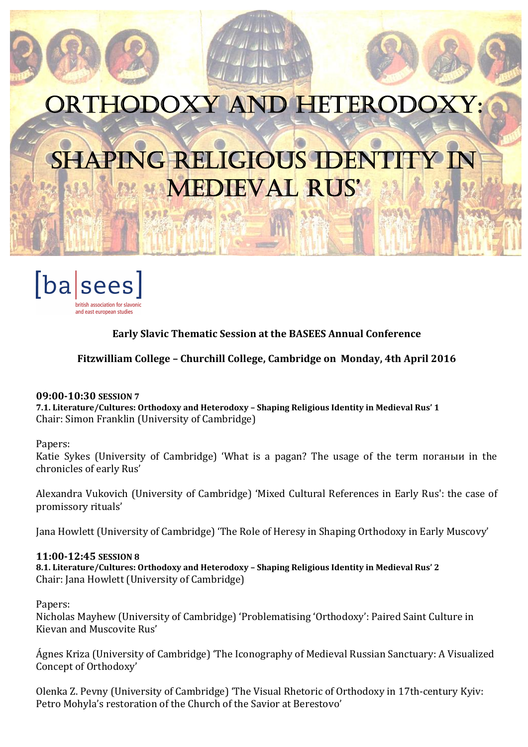# ORTHODOXY AND HETERODOXY:  $\frac{1}{4}$

Ņ

L

 $\overline{\mathbb{R}}$ 

# SHAPING RELIGIOUS IDENTITY IN MedIeval RuS'



# Early Slavic Thematic Session at the BASEES Annual Conference

# Fitzwilliam College – Churchill College, Cambridge on Monday, 4th April 2016

## 09:00-10:30 SESSION 7

7.1. Literature/Cultures: Orthodoxy and Heterodoxy – Shaping Religious Identity in Medieval Rus' 1 Chair: Simon Franklin (University of Cambridge)

#### Papers:

Katie Sykes (University of Cambridge) 'What is a pagan? The usage of the term поганыи in the chronicles of early Rus'

Alexandra Vukovich (University of Cambridge) 'Mixed Cultural References in Early Rus': the case of promissory rituals'

Jana Howlett (University of Cambridge) 'The Role of Heresy in Shaping Orthodoxy in Early Muscovy'

## 11:00-12:45 SESSION 8

8.1. Literature/Cultures: Orthodoxy and Heterodoxy – Shaping Religious Identity in Medieval Rus' 2 Chair: Jana Howlett (University of Cambridge)

Papers:

Nicholas Mayhew (University of Cambridge) 'Problematising 'Orthodoxy': Paired Saint Culture in Kievan and Muscovite Rus'

Ágnes Kriza (University of Cambridge) 'The Iconography of Medieval Russian Sanctuary: A Visualized Concept of Orthodoxy'

Olenka Z. Pevny (University of Cambridge) 'The Visual Rhetoric of Orthodoxy in 17th-century Kyiv: Petro Mohyla's restoration of the Church of the Savior at Berestovo'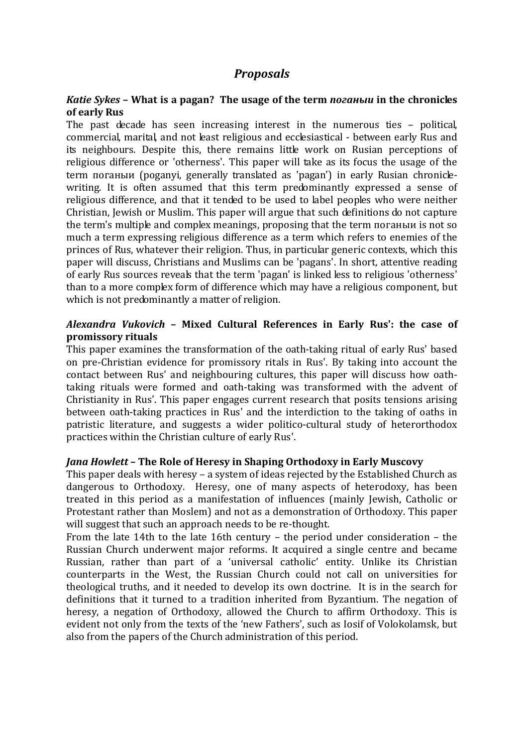# *Proposals*

# *Katie Sykes* – What is a pagan? The usage of the term *поганыи* in the chronicles of early Rus

The past decade has seen increasing interest in the numerous ties – political, commercial, marital, and not least religious and ecclesiastical - between early Rus and its neighbours. Despite this, there remains little work on Rusian perceptions of religious difference or 'otherness'. This paper will take as its focus the usage of the term поганыи (poganyi, generally translated as 'pagan') in early Rusian chroniclewriting. It is often assumed that this term predominantly expressed a sense of religious difference, and that it tended to be used to label peoples who were neither Christian, Jewish or Muslim. This paper will argue that such definitions do not capture the term's multiple and complex meanings, proposing that the term поганыи is not so much a term expressing religious difference as a term which refers to enemies of the princes of Rus, whatever their religion. Thus, in particular generic contexts, which this paper will discuss, Christians and Muslims can be 'pagans'. In short, attentive reading of early Rus sources reveals that the term 'pagan' is linked less to religious 'otherness' than to a more complex form of difference which may have a religious component, but which is not predominantly a matter of religion.

# *Alexandra Vukovich* – Mixed Cultural References in Early Rus': the case of promissory rituals

This paper examines the transformation of the oath-taking ritual of early Rus' based on pre-Christian evidence for promissory ritals in Rus'. By taking into account the contact between Rus' and neighbouring cultures, this paper will discuss how oathtaking rituals were formed and oath-taking was transformed with the advent of Christianity in Rus'. This paper engages current research that posits tensions arising between oath-taking practices in Rus' and the interdiction to the taking of oaths in patristic literature, and suggests a wider politico-cultural study of heterorthodox practices within the Christian culture of early Rus'.

## *Jana Howlett* – The Role of Heresy in Shaping Orthodoxy in Early Muscovy

This paper deals with heresy – a system of ideas rejected by the Established Church as dangerous to Orthodoxy. Heresy, one of many aspects of heterodoxy, has been treated in this period as a manifestation of influences (mainly Jewish, Catholic or Protestant rather than Moslem) and not as a demonstration of Orthodoxy. This paper will suggest that such an approach needs to be re-thought.

From the late 14th to the late 16th century – the period under consideration – the Russian Church underwent major reforms. It acquired a single centre and became Russian, rather than part of a 'universal catholic' entity. Unlike its Christian counterparts in the West, the Russian Church could not call on universities for theological truths, and it needed to develop its own doctrine. It is in the search for definitions that it turned to a tradition inherited from Byzantium. The negation of heresy, a negation of Orthodoxy, allowed the Church to affirm Orthodoxy. This is evident not only from the texts of the 'new Fathers', such as Iosif of Volokolamsk, but also from the papers of the Church administration of this period.